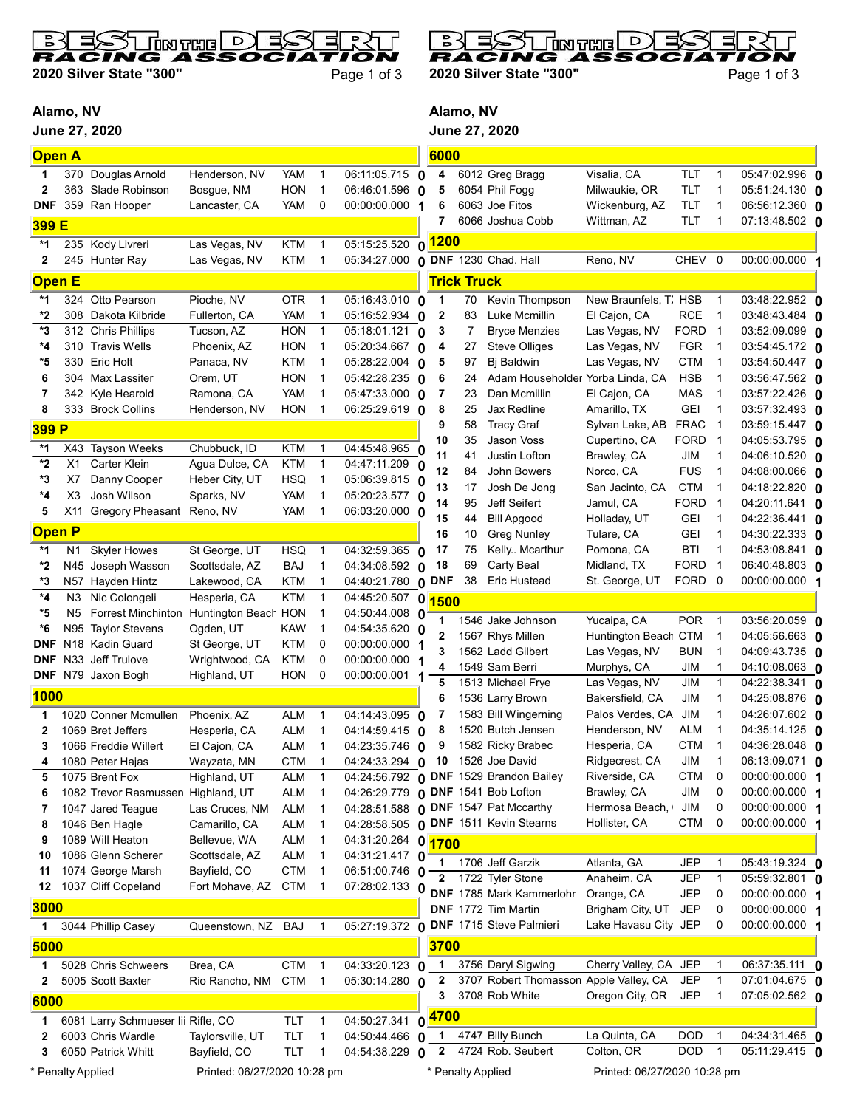

2020 Silver State "300" Page 1 of 3

习 Ξ  $\overline{D}$ **Solution RACING** So

2020 Silver State "300" Page 1 of 3

Alamo, NV

June 27, 2020



| <b>Open A</b>     |                |                                         |                                |                   |                            |                                       | 6000                             |                    |                                        |                                     |                           |                             |                                         |  |
|-------------------|----------------|-----------------------------------------|--------------------------------|-------------------|----------------------------|---------------------------------------|----------------------------------|--------------------|----------------------------------------|-------------------------------------|---------------------------|-----------------------------|-----------------------------------------|--|
| 1                 | 370            | Douglas Arnold                          | Henderson, NV                  | <b>YAM</b>        | 1                          | 06:11:05.715 0                        | 4                                |                    | 6012 Greg Bragg                        | Visalia, CA                         | TLT                       | $\mathbf{1}$                | 05:47:02.996 0                          |  |
| $\overline{2}$    | 363            | Slade Robinson                          | Bosque, NM                     | <b>HON</b>        | $\overline{1}$             | 06:46:01.596 0                        | 5                                |                    | 6054 Phil Fogg                         | Milwaukie, OR                       | <b>TLT</b>                | $\mathbf{1}$                | $05:51:24.130$ 0                        |  |
| <b>DNF</b>        |                | 359 Ran Hooper                          | Lancaster, CA                  | <b>YAM</b>        | 0                          | 00:00:00.000 1                        | 6                                |                    | 6063 Joe Fitos                         | Wickenburg, AZ                      | TLT                       | $\mathbf 1$                 | 06:56:12.360 0                          |  |
| 399 E             |                |                                         |                                |                   |                            |                                       | 7                                |                    | 6066 Joshua Cobb                       | Wittman, AZ                         | <b>TLT</b>                | 1                           | 07:13:48.502 0                          |  |
| *1                |                | 235 Kody Livreri                        | Las Vegas, NV                  | <b>KTM</b>        | $\mathbf{1}$               | 05:15:25.520                          | 0 <sup>1200</sup>                |                    |                                        |                                     |                           |                             |                                         |  |
| 2                 |                | 245 Hunter Ray                          | Las Vegas, NV                  | <b>KTM</b>        | $\mathbf{1}$               | 05:34:27.000 0 DNF 1230 Chad. Hall    |                                  |                    |                                        | Reno, NV                            | CHEV 0                    |                             | 00:00:00.000 1                          |  |
| <b>Open E</b>     |                |                                         |                                |                   |                            |                                       |                                  | <b>Trick Truck</b> |                                        |                                     |                           |                             |                                         |  |
| *1                | 324            | Otto Pearson                            | Pioche, NV                     | <b>OTR</b>        | $\mathbf{1}$               | $05:16:43.010$ 0                      | $\mathbf 1$                      |                    | Kevin Thompson                         | New Braunfels, T. HSB               |                           |                             | 03:48:22.952 0                          |  |
| *2                | 308            | Dakota Kilbride                         | Fullerton, CA                  | YAM               | $\mathbf{1}$               | 05:16:52.934 0                        | $\overline{2}$                   | 70<br>83           | Luke Mcmillin                          | El Cajon, CA                        | <b>RCE</b>                | 1<br>$\overline{1}$         | 03:48:43.484 0                          |  |
| *3                | 312            | <b>Chris Phillips</b>                   | Tucson, AZ                     | <b>HON</b>        | $\overline{1}$             | 05:18:01.121 0                        | 3                                | 7                  | <b>Bryce Menzies</b>                   | Las Vegas, NV                       | <b>FORD</b>               | $\overline{\phantom{0}}$    | 03:52:09.099 0                          |  |
| *4                | 310            | <b>Travis Wells</b>                     | Phoenix, AZ                    | <b>HON</b>        | $\mathbf{1}$               | 05:20:34.667 0                        | 4                                | 27                 | <b>Steve Olliges</b>                   | Las Vegas, NV                       | <b>FGR</b>                | $\mathbf 1$                 | 03:54:45.172 <b>0</b>                   |  |
| *5                | 330            | <b>Eric Holt</b>                        | Panaca, NV                     | <b>KTM</b>        | $\mathbf 1$                | 05:28:22.004 0                        | 5                                | 97                 | Bj Baldwin                             | Las Vegas, NV                       | <b>CTM</b>                | $\mathbf 1$                 | 03:54:50.447 <b>0</b>                   |  |
| 6                 |                | 304 Max Lassiter                        | Orem, UT                       | <b>HON</b>        | $\mathbf 1$                | 05:42:28.235 0                        | 6                                | 24                 | Adam Householder                       | Yorba Linda, CA                     | <b>HSB</b>                |                             | 03:56:47.562 0                          |  |
| 7                 |                | 342 Kyle Hearold                        | Ramona, CA                     | <b>YAM</b>        | 1                          | $05:47:33.000$ 0                      | 7                                | 23                 | Dan Mcmillin                           | El Cajon, CA                        | <b>MAS</b>                | $\mathbf 1$                 | 03:57:22.426 <b>0</b>                   |  |
| 8                 |                | 333 Brock Collins                       | Henderson, NV                  | <b>HON</b>        | $\mathbf{1}$               | 06:25:29.619 0                        | 8                                | 25                 | Jax Redline                            | Amarillo, TX                        | <b>GEI</b>                | 1                           | 03:57:32.493 0                          |  |
| 399 P             |                |                                         |                                |                   |                            |                                       | 9                                | 58                 | <b>Tracy Graf</b>                      | Sylvan Lake, AB                     | <b>FRAC</b>               | $\mathbf 1$                 | 03:59:15.447 0                          |  |
| *1                | X43            | <b>Tayson Weeks</b>                     | Chubbuck, ID                   | <b>KTM</b>        | $\mathbf{1}$               | 04:45:48.965 0                        | 10                               | 35                 | Jason Voss                             | Cupertino, CA                       | <b>FORD</b>               | $\overline{1}$              | 04:05:53.795 0                          |  |
| *2                | X1             | <b>Carter Klein</b>                     | Agua Dulce, CA                 | <b>KTM</b>        | $\mathbf{1}$               | $\overline{04:47:11.209}$ 0           | 11                               | 41                 | Justin Lofton                          | Brawley, CA                         | JIM                       | 1                           | 04:06:10.520 <b>0</b>                   |  |
| *3                | X7             | Danny Cooper                            | Heber City, UT                 | <b>HSQ</b>        | $\overline{1}$             | 05:06:39.815 0                        | 12                               | 84                 | John Bowers                            | Norco, CA                           | <b>FUS</b>                | $\mathbf{1}$                | 04:08:00.066 0                          |  |
| *4                | X3             | Josh Wilson                             | Sparks, NV                     | <b>YAM</b>        | 1                          | 05:20:23.577 0                        | 13                               | 17                 | Josh De Jong                           | San Jacinto, CA                     | <b>CTM</b>                | 1                           | 04:18:22.820 0                          |  |
| 5                 | X11            | <b>Gregory Pheasant</b>                 | Reno, NV                       | <b>YAM</b>        | 1                          | 06:03:20.000 0                        | 14<br>15                         | 95<br>44           | Jeff Seifert<br><b>Bill Apgood</b>     | Jamul, CA<br>Holladay, UT           | <b>FORD</b><br><b>GEI</b> | $\mathbf 1$<br>$\mathbf 1$  | 04:20:11.641 0<br>04:22:36.441 0        |  |
| <b>Open P</b>     |                |                                         |                                |                   |                            |                                       | 16                               | 10                 | <b>Greg Nunley</b>                     | Tulare, CA                          | <b>GEI</b>                | $\mathbf 1$                 | 04:30:22.333 0                          |  |
| *1                | N1             | <b>Skyler Howes</b>                     | St George, UT                  | <b>HSQ</b>        | $\overline{1}$             | 04:32:59.365 0                        | 17                               | 75                 | Kelly Mcarthur                         | Pomona, CA                          | <b>BTI</b>                | $\mathbf 1$                 | 04:53:08.841 0                          |  |
| *2                | N45            | Joseph Wasson                           | Scottsdale, AZ                 | <b>BAJ</b>        | $\mathbf{1}$               | 04:34:08.592 0                        | 18                               | 69                 | Carty Beal                             | Midland, TX                         | <b>FORD</b>               | $\overline{1}$              | 06:40:48.803 0                          |  |
| *3                | N57            | Hayden Hintz                            | Lakewood, CA                   | <b>KTM</b>        | $\mathbf{1}$               | 04:40:21.780 0                        | <b>DNF</b>                       | 38                 | <b>Eric Hustead</b>                    | St. George, UT                      | FORD 0                    |                             | 00:00:00.000 1                          |  |
| *4                | N <sub>3</sub> | Nic Colongeli                           | Hesperia, CA                   | <b>KTM</b>        | $\mathbf{1}$               | 04:45:20.507                          | 0<br><b>1500</b>                 |                    |                                        |                                     |                           |                             |                                         |  |
| *5                | N <sub>5</sub> | Forrest Minchinton Huntington Beach HON |                                |                   | $\mathbf 1$                | 04:50:44.008 0                        | 1                                |                    | 1546 Jake Johnson                      |                                     | <b>POR</b>                |                             |                                         |  |
| *6                | N95            | <b>Taylor Stevens</b>                   | Ogden, UT                      | <b>KAW</b>        | $\mathbf 1$                | 04:54:35.620 0                        | $\mathbf{2}$                     |                    | 1567 Rhys Millen                       | Yucaipa, CA<br>Huntington Beach CTM |                           | $\mathbf{1}$<br>$\mathbf 1$ | 03:56:20.059 0<br>04:05:56.663 <b>0</b> |  |
| <b>DNF</b>        | N18            | Kadin Guard                             | St George, UT                  | <b>KTM</b>        | 0                          | 00:00:00.000 1                        | 3                                |                    | 1562 Ladd Gilbert                      | Las Vegas, NV                       | <b>BUN</b>                | 1                           | 04:09:43.735 0                          |  |
| DNF               | N33            | Jeff Trulove                            | Wrightwood, CA                 | <b>KTM</b>        | 0                          | 00:00:00.000 1                        | 4                                |                    | 1549 Sam Berri                         | Murphys, CA                         | JIM                       |                             | 04:10:08.063 <b>በ</b>                   |  |
| <b>DNF</b>        |                | N79 Jaxon Bogh                          | Highland, UT                   | <b>HON</b>        | 0                          | 00:00:00.001                          | 1<br>5                           |                    | 1513 Michael Frye                      | Las Vegas, NV                       | <b>JIM</b>                | $\mathbf{1}$                | 04:22:38.341 0                          |  |
| <b>1000</b>       |                |                                         |                                |                   |                            |                                       | 6                                |                    | 1536 Larry Brown                       | Bakersfield, CA                     | JIM                       | 1                           | 04:25:08.876 0                          |  |
| 1                 |                | 1020 Conner Mcmullen                    | Phoenix, AZ                    | <b>ALM</b>        | $\mathbf{1}$               | 04:14:43.095 0                        | 7                                |                    | 1583 Bill Wingerning                   | Palos Verdes, CA                    | <b>JIM</b>                |                             | 04:26:07.602 0                          |  |
| 2                 |                | 1069 Bret Jeffers                       | Hesperia, CA                   | <b>ALM</b>        | $\mathbf 1$                | $04:14:59.415$ 0                      | 8                                |                    | 1520 Butch Jensen                      | Henderson, NV                       | ALM                       |                             | 04:35:14.125 0                          |  |
| 3                 |                | 1066 Freddie Willert                    | El Cajon, CA                   | <b>ALM</b>        | 1                          | 04:23:35.746 $\Omega$                 | 9                                |                    | 1582 Ricky Brabec                      | Hesperia, CA                        | <b>CTM</b>                |                             | 04:36:28.048 0                          |  |
| 4                 |                | 1080 Peter Hajas                        | Wayzata, MN                    | <b>CTM</b>        | $\mathbf{1}$               | 04:24:33.294                          | 10<br>0                          |                    | 1526 Joe David                         | Ridgecrest, CA                      | JIM                       | 1                           | 06:13:09.071 0                          |  |
| 5                 |                | 1075 Brent Fox                          | Highland, UT                   | <b>ALM</b>        | $\overline{1}$             |                                       |                                  |                    | 04:24:56.792 0 DNF 1529 Brandon Bailey | Riverside, CA                       | <b>CTM</b>                | 0                           | 00:00:00.000 1                          |  |
| 6                 |                | 1082 Trevor Rasmussen Highland, UT      |                                | <b>ALM</b>        | 1                          | 04:26:29.779 0 DNF 1541 Bob Lofton    |                                  |                    |                                        | Brawley, CA                         | JIM                       | 0                           | 00:00:00.000 1                          |  |
| 7                 |                | 1047 Jared Teague                       | Las Cruces, NM                 | <b>ALM</b>        | $\mathbf 1$                | 04:28:51.588 0 DNF 1547 Pat Mccarthy  |                                  |                    |                                        | Hermosa Beach,                      | JIM                       | 0                           | 00:00:00.000 1                          |  |
| 8                 |                | 1046 Ben Hagle                          | Camarillo, CA                  | <b>ALM</b>        | $\mathbf 1$                | 04:28:58.505 0 DNF 1511 Kevin Stearns |                                  |                    |                                        | Hollister, CA                       | <b>CTM</b>                | 0                           | 00:00:00.000 1                          |  |
| 9                 |                | 1089 Will Heaton                        | Bellevue, WA                   | ALM               | $\mathbf 1$                | 04:31:20.264 0 1700<br>04:31:21.417 0 |                                  |                    |                                        |                                     |                           |                             |                                         |  |
| 10<br>11          |                | 1086 Glenn Scherer<br>1074 George Marsh | Scottsdale, AZ<br>Bayfield, CO | ALM<br><b>CTM</b> | $\mathbf 1$<br>$\mathbf 1$ | 06:51:00.746 0                        | 1                                |                    | 1706 Jeff Garzik                       | Atlanta, GA                         | <b>JEP</b>                | 1                           | 05:43:19.324 0                          |  |
| 12                |                | 1037 Cliff Copeland                     | Fort Mohave, AZ                | <b>CTM</b>        | $\overline{\mathbf{1}}$    | 07:28:02.133 0                        | $\overline{2}$                   |                    | 1722 Tyler Stone                       | Anaheim, CA                         | JEP                       | $\mathbf{1}$                | $05:59:32.801$ 0                        |  |
|                   |                |                                         |                                |                   |                            |                                       |                                  |                    | DNF 1785 Mark Kammerlohr               | Orange, CA                          | <b>JEP</b>                | 0                           | 00:00:00.000 1                          |  |
| 3000              |                |                                         |                                |                   |                            |                                       |                                  |                    | DNF 1772 Tim Martin                    | Brigham City, UT                    | <b>JEP</b>                | 0                           | 00:00:00.000 1                          |  |
| 1                 |                | 3044 Phillip Casey                      | Queenstown, NZ                 | <b>BAJ</b>        | $\mathbf 1$                | 05:27:19.372 0                        |                                  |                    | DNF 1715 Steve Palmieri                | Lake Havasu City JEP                |                           | 0                           | 00:00:00.000 1                          |  |
| 5000              |                |                                         |                                |                   |                            |                                       | 3700                             |                    |                                        |                                     |                           |                             |                                         |  |
| 1                 |                | 5028 Chris Schweers                     | Brea, CA                       | CTM 1             |                            | $04:33:20.123$ 0                      | $\mathbf{1}$                     |                    | 3756 Daryl Sigwing                     | Cherry Valley, CA JEP               |                           | 1                           | $06:37:35.111$ 0                        |  |
| 2                 |                | 5005 Scott Baxter                       | Rio Rancho, NM CTM 1           |                   |                            | 05:30:14.280 0                        | 2                                |                    | 3707 Robert Thomasson Apple Valley, CA |                                     | <b>JEP</b>                | 1                           | 07:01:04.675 0                          |  |
| 6000              |                |                                         |                                |                   |                            |                                       | 3                                |                    | 3708 Rob White                         | Oregon City, OR                     | JEP                       | 1                           | 07:05:02.562 0                          |  |
| 1                 |                | 6081 Larry Schmueser lii Rifle, CO      |                                | <b>TLT</b>        | $\mathbf 1$                | 04:50:27.341                          | $\mathbf{r}_0$ <mark>4700</mark> |                    |                                        |                                     |                           |                             |                                         |  |
| 2                 |                | 6003 Chris Wardle                       | Taylorsville, UT               | TLT               | 1                          | 04:50:44.466 $\alpha$                 | 1.                               |                    | 4747 Billy Bunch                       | La Quinta, CA                       | <b>DOD</b>                | $\mathbf{1}$                | 04:34:31.465 0                          |  |
| 3                 |                | 6050 Patrick Whitt                      | Bayfield, CO                   | <b>TLT</b>        | $\mathbf{1}$               | 04:54:38.229 0                        | 2                                |                    | 4724 Rob. Seubert                      | Colton, OR                          | <b>DOD</b>                | $\overline{1}$              | 05:11:29.415 0                          |  |
| * Penalty Applied |                |                                         | Printed: 06/27/2020 10:28 pm   |                   |                            |                                       | * Penalty Applied                |                    |                                        | Printed: 06/27/2020 10:28 pm        |                           |                             |                                         |  |
|                   |                |                                         |                                |                   |                            |                                       |                                  |                    |                                        |                                     |                           |                             |                                         |  |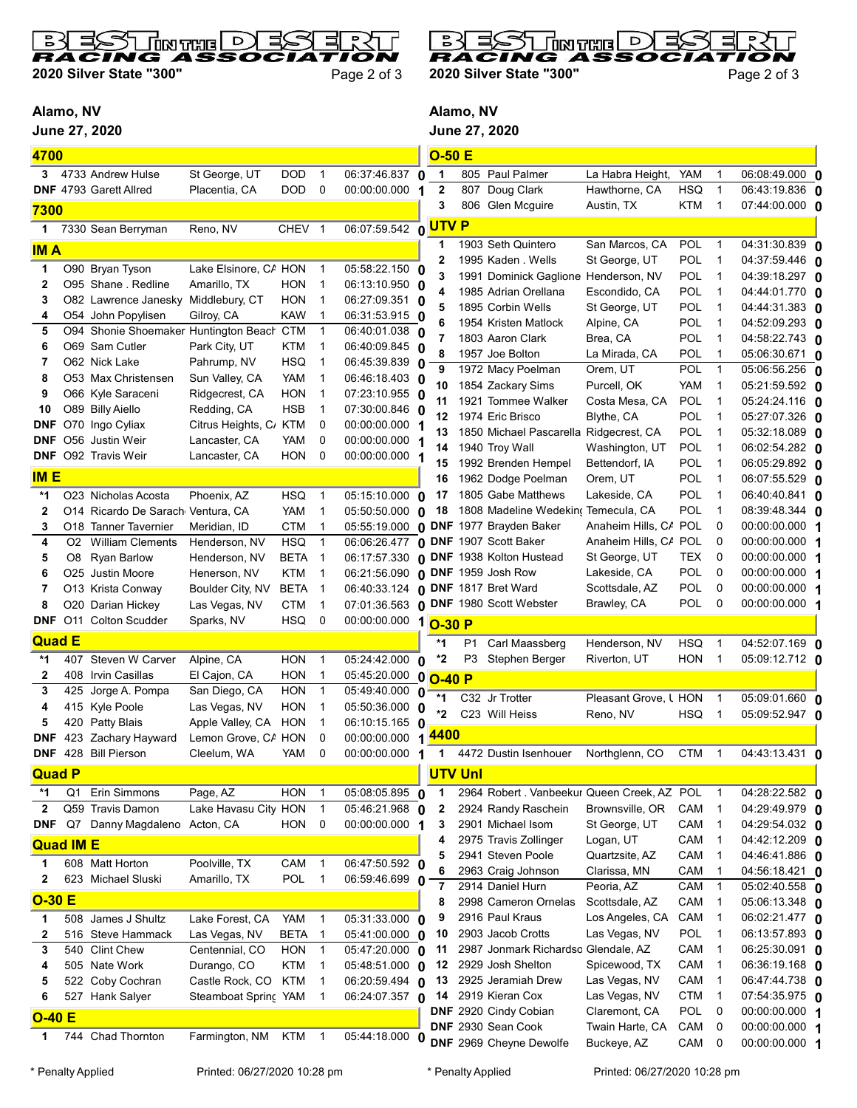

2020 Silver State "300" Page 2 of 3

B D ا הסיגית נאם ! RACING

2020 Silver State "300" Page 2 of 3

## Alamo, NV

June 27, 2020



| 4700             |                |                                           |                                   |                   |                |                                              | $O-50E$                          |                |                                             |                       |            |                |                       |  |
|------------------|----------------|-------------------------------------------|-----------------------------------|-------------------|----------------|----------------------------------------------|----------------------------------|----------------|---------------------------------------------|-----------------------|------------|----------------|-----------------------|--|
| 3                |                | 4733 Andrew Hulse                         | St George, UT                     | DOD               | $\mathbf 1$    | 06:37:46.837 0                               | $\mathbf 1$                      |                | 805 Paul Palmer                             | La Habra Height,      | <b>YAM</b> | 1              | 06:08:49.000 0        |  |
|                  |                | <b>DNF</b> 4793 Garett Allred             | Placentia, CA                     | <b>DOD</b>        | $\mathbf 0$    | 00:00:00.000                                 | $\boldsymbol{2}$<br>1            | 807            | Doug Clark                                  | Hawthorne, CA         | <b>HSQ</b> | 1              | 06:43:19.836 <b>0</b> |  |
| 7300             |                |                                           |                                   |                   |                |                                              | 3                                |                | 806 Glen Mcguire                            | Austin, TX            | <b>KTM</b> | $\mathbf 1$    | 07:44:00.000 <b>0</b> |  |
|                  |                |                                           |                                   | CHEV <sub>1</sub> |                |                                              |                                  |                |                                             |                       |            |                |                       |  |
| 1                |                | 7330 Sean Berryman                        | Reno, NV                          |                   |                | 06:07:59.542 0 UTV P                         |                                  |                |                                             |                       |            |                |                       |  |
| <b>IMA</b>       |                |                                           |                                   |                   |                |                                              | 1                                |                | 1903 Seth Quintero                          | San Marcos, CA        | POL<br>POL | 1              | 04:31:30.839 0        |  |
| 1                |                | O90 Bryan Tyson                           | Lake Elsinore, CA HON             |                   | $\overline{1}$ | 05:58:22.150 0                               | 2                                |                | 1995 Kaden . Wells                          | St George, UT         |            | 1              | 04:37:59.446 0        |  |
| 2                |                | O95 Shane . Redline                       | Amarillo, TX                      | HON               | $\mathbf 1$    | 06:13:10.950 0                               |                                  |                | 1991 Dominick Gaglione                      | Henderson, NV         | <b>POL</b> | 1              | 04:39:18.297 0        |  |
| 3                |                | O82 Lawrence Janesky                      | Middlebury, CT                    | <b>HON</b>        | $\mathbf{1}$   | 06:27:09.351 0                               | Δ                                |                | 1985 Adrian Orellana                        | Escondido, CA         | POL        | $\mathbf 1$    | 04:44:01.770 0        |  |
| 4                |                | O54 John Popylisen                        | Gilroy, CA                        | <b>KAW</b>        | $\mathbf{1}$   | 06:31:53.915 0                               | 5                                |                | 1895 Corbin Wells                           | St George, UT         | POL        | $\mathbf 1$    | 04:44:31.383 <b>0</b> |  |
| 5                |                | O94 Shonie Shoemaker Huntington Beach CTM |                                   |                   | $\mathbf{1}$   | 06:40:01.038                                 | 6                                |                | 1954 Kristen Matlock                        | Alpine, CA            | POL        | 1              | 04:52:09.293 0        |  |
| 6                |                | O69 Sam Cutler                            | Park City, UT                     | KTM               | $\mathbf{1}$   | 06:40:09.845 0                               | 7                                |                | 1803 Aaron Clark                            | Brea, CA              | <b>POL</b> | 1              | 04:58:22.743 0        |  |
| 7                |                | O62 Nick Lake                             | Pahrump, NV                       | <b>HSQ</b>        | $\mathbf{1}$   | 06:45:39.839 0                               | 8                                |                | 1957 Joe Bolton                             | La Mirada, CA         | <b>POL</b> | 1              | 05:06:30.671 0        |  |
| 8                |                | O53 Max Christensen                       | Sun Valley, CA                    | YAM               | $\mathbf{1}$   | 06:46:18.403 0                               | 9                                |                | 1972 Macy Poelman                           | Orem, UT              | POL        | $\mathbf{1}$   | 05:06:56.256 0        |  |
| 9                |                | O66 Kyle Saraceni                         | Ridgecrest, CA                    | <b>HON</b>        | 1              | 07:23:10.955 0                               | 10                               |                | 1854 Zackary Sims                           | Purcell, OK           | <b>YAM</b> | -1             | 05:21:59.592 <b>0</b> |  |
| 10               |                | O89 Billy Aiello                          | Redding, CA                       | <b>HSB</b>        | 1              | 07:30:00.846 0                               | 11                               |                | 1921 Tommee Walker                          | Costa Mesa, CA        | POL        | 1              | 05:24:24.116 <b>0</b> |  |
| DNF              |                | O70 Ingo Cyliax                           | Citrus Heights, C/ KTM            |                   | 0              | 00:00:00.000                                 | 12                               |                | 1974 Eric Brisco                            | Blythe, CA            | POL        | 1              | 05:27:07.326 0        |  |
| <b>DNF</b>       |                | O56 Justin Weir                           | Lancaster, CA                     | YAM               | 0              | 00:00:00.000                                 | 13                               |                | 1850 Michael Pascarella Ridgecrest, CA      |                       | POL        | 1              | 05:32:18.089 0        |  |
| <b>DNF</b>       |                | O92 Travis Weir                           | Lancaster, CA                     | <b>HON</b>        | 0              | 00:00:00.000                                 | 14                               |                | 1940 Troy Wall                              | Washington, UT        | POL        | $\mathbf{1}$   | 06:02:54.282 0        |  |
|                  |                |                                           |                                   |                   |                |                                              | 15                               |                | 1992 Brenden Hempel                         | Bettendorf, IA        | POL        | $\mathbf 1$    | 06:05:29.892 0        |  |
| <b>IME</b>       |                |                                           |                                   |                   |                |                                              | 16                               |                | 1962 Dodge Poelman                          | Orem, UT              | POL        | 1              | 06:07:55.529 0        |  |
| *1               |                | O23 Nicholas Acosta                       | Phoenix, AZ                       | <b>HSQ</b>        | $\mathbf{1}$   | 05:15:10.000 0                               | 17                               |                | 1805 Gabe Matthews                          | Lakeside, CA          | <b>POL</b> | $\mathbf 1$    | 06:40:40.841 <b>0</b> |  |
| $\overline{2}$   |                | O14 Ricardo De Sarach Ventura, CA         |                                   | YAM               | $\mathbf{1}$   | 05:50:50.000 0                               | 18                               |                | 1808 Madeline Wedeking Temecula, CA         |                       | POL        | $\mathbf 1$    | 08:39:48.344 <b>0</b> |  |
| 3                |                | O18 Tanner Tavernier                      | Meridian, ID                      | <b>CTM</b>        | 1              | $05:55:19.000$ 0                             |                                  |                | <b>DNF</b> 1977 Brayden Baker               | Anaheim Hills, CA     | <b>POL</b> | 0              | 00:00:00.000 1        |  |
| 4                | O <sub>2</sub> | <b>William Clements</b>                   | Henderson, NV                     | <b>HSQ</b>        | $\mathbf{1}$   | 06:06:26.477                                 |                                  |                | <b>0 DNF</b> 1907 Scott Baker               | Anaheim Hills, C/ POL |            | 0              | 00:00:00.000 1        |  |
| 5                | O8             | <b>Ryan Barlow</b>                        | Henderson, NV                     | <b>BETA</b>       | $\overline{1}$ |                                              |                                  |                | 06:17:57.330 0 DNF 1938 Kolton Hustead      | St George, UT         | TEX        | 0              | 00:00:00.000 1        |  |
| 6                |                | O25 Justin Moore                          | Henerson, NV                      | KTM               | $\overline{1}$ | 06:21:56.090 0 DNF 1959 Josh Row             |                                  |                |                                             | Lakeside, CA          | POL        | 0              | 00:00:00.000 1        |  |
| 7                |                | O13 Krista Conway                         | Boulder City, NV                  | <b>BETA</b>       | $\overline{1}$ | 06:40:33.124 0 DNF 1817 Bret Ward            |                                  |                |                                             | Scottsdale, AZ        | POL        | 0              | 00:00:00.000 1        |  |
| 8                |                | O20 Darian Hickey                         | Las Vegas, NV                     | <b>CTM</b>        | $\mathbf{1}$   | 07:01:36.563 0 DNF 1980 Scott Webster        |                                  |                |                                             | Brawley, CA           | POL        | 0              | 00:00:00.000 1        |  |
|                  |                | <b>DNF</b> O11 Colton Scudder             | Sparks, NV                        | <b>HSQ</b>        | 0              | 00:00:00.000                                 | 1<br>$O-30 P$                    |                |                                             |                       |            |                |                       |  |
| <b>Quad E</b>    |                |                                           |                                   |                   |                |                                              | *1                               | P <sub>1</sub> | Carl Maassberg                              | Henderson, NV         | <b>HSQ</b> | 1              | 04:52:07.169 0        |  |
| *1               | 407            | Steven W Carver                           | Alpine, CA                        | <b>HON</b>        | $\mathbf{1}$   | 05:24:42.000                                 | *2                               | P3             | Stephen Berger                              | Riverton, UT          | <b>HON</b> | $\mathbf 1$    | 05:09:12.712 0        |  |
| 2                | 408            | Irvin Casillas                            | El Cajon, CA                      | <b>HON</b>        | $\mathbf{1}$   |                                              | 0                                |                |                                             |                       |            |                |                       |  |
| 3                | 425            | Jorge A. Pompa                            | San Diego, CA                     | <b>HON</b>        | $\overline{1}$ | 05:45:20.000<br>$\overline{0}$ 5:49:40.000 0 | 0<br>$O-40P$                     |                |                                             |                       |            |                |                       |  |
| 4                |                | Kyle Poole                                |                                   | <b>HON</b>        | $\mathbf{1}$   | 05:50:36.000 0                               | $*1$                             |                | C32 Jr Trotter                              | Pleasant Grove, L HON |            | $\mathbf{1}$   | 05:09:01.660 0        |  |
| 5                | 415<br>420     | Patty Blais                               | Las Vegas, NV<br>Apple Valley, CA | HON               | $\mathbf 1$    | 06:10:15.165 0                               | *2                               |                | C23 Will Heiss                              | Reno, NV              | <b>HSQ</b> | $\mathbf{1}$   | 05:09:52.947 0        |  |
| DNF              | 423            | Zachary Hayward                           | Lemon Grove, CA HON               |                   | 0              | 00:00:00.000                                 | <mark>4400</mark>                |                |                                             |                       |            |                |                       |  |
|                  |                | DNF 428 Bill Pierson                      | Cleelum, WA                       | YAM               | 0              | 00:00:00.000 1                               | 1                                |                | 4472 Dustin Isenhouer                       | Northglenn, CO        | <b>CTM</b> | $\overline{1}$ | 04:43:13.431 0        |  |
|                  |                |                                           |                                   |                   |                |                                              |                                  |                |                                             |                       |            |                |                       |  |
| <b>Quad P</b>    |                |                                           |                                   |                   |                |                                              | <b>UTV Unl</b>                   |                |                                             |                       |            |                |                       |  |
| *1               | Q1             | Erin Simmons                              | Page, AZ                          | <b>HON</b>        | $\mathbf{1}$   | 05:08:05.895 0                               | 1                                |                | 2964 Robert . Vanbeekur Queen Creek, AZ POL |                       |            | $\overline{1}$ | 04:28:22.582 0        |  |
| $\mathbf 2$      |                | Q59 Travis Damon                          | Lake Havasu City HON              |                   | $\overline{1}$ | 05:46:21.968                                 | $\boldsymbol{2}$<br>$\mathbf{0}$ |                | 2924 Randy Raschein                         | Brownsville, OR       | CAM        | $\overline{1}$ | 04:29:49.979 0        |  |
| DNF              | Q7             | Danny Magdaleno Acton, CA                 |                                   | <b>HON</b>        | 0              | 00:00:00.000                                 | 3<br>1                           |                | 2901 Michael Isom                           | St George, UT         | CAM        | 1              | 04:29:54.032 0        |  |
| <b>Quad IM E</b> |                |                                           |                                   |                   |                |                                              | 4                                |                | 2975 Travis Zollinger                       | Logan, UT             | CAM        | 1              | 04:42:12.209 0        |  |
|                  |                |                                           |                                   |                   |                |                                              | 5                                |                | 2941 Steven Poole                           | Quartzsite, AZ        | CAM        | 1              | 04:46:41.886 0        |  |
| 1                |                | 608 Matt Horton                           | Poolville, TX                     | CAM               | $\overline{1}$ | 06:47:50.592 0                               | 6                                |                | 2963 Craig Johnson                          | Clarissa, MN          | CAM        |                | 04:56:18.421 0        |  |
| 2                |                | 623 Michael Sluski                        | Amarillo, TX                      | <b>POL</b>        | $\overline{1}$ | 06:59:46.699 0                               | $\overline{7}$                   |                | 2914 Daniel Hurn                            | Peoria, AZ            | CAM        | -1             | 05:02:40.558 0        |  |
| $O-30E$          |                |                                           |                                   |                   |                |                                              | 8                                |                | 2998 Cameron Ornelas                        | Scottsdale, AZ        | CAM        | -1             | 05:06:13.348 0        |  |
| 1                | 508            | James J Shultz                            | Lake Forest, CA                   | YAM               | $\overline{1}$ | 05:31:33.000 0                               | 9                                |                | 2916 Paul Kraus                             | Los Angeles, CA       | CAM        | $\mathbf 1$    | 06:02:21.477 0        |  |
| 2                | 516            | <b>Steve Hammack</b>                      | Las Vegas, NV                     | <b>BETA</b>       | $\overline{1}$ | 05:41:00.000 0                               | 10                               |                | 2903 Jacob Crotts                           | Las Vegas, NV         | POL        | 1              | 06:13:57.893 0        |  |
| 3                | 540            | <b>Clint Chew</b>                         | Centennial, CO                    | <b>HON</b>        | $\mathbf{1}$   | 05:47:20.000 0                               | 11                               |                | 2987 Jonmark Richardso Glendale, AZ         |                       | CAM        | 1              | 06:25:30.091 0        |  |
| 4                |                | 505 Nate Work                             | Durango, CO                       | <b>KTM</b>        | $\mathbf{1}$   | 05:48:51.000 0                               | 12                               |                | 2929 Josh Shelton                           | Spicewood, TX         | CAM        | 1              | 06:36:19.168 0        |  |
| 5                | 522            | Coby Cochran                              | Castle Rock, CO                   | <b>KTM</b>        | $\mathbf 1$    | 06:20:59.494 0                               | 13                               |                | 2925 Jeramiah Drew                          | Las Vegas, NV         | CAM        | 1              | 06:47:44.738 0        |  |
| 6                | 527            | Hank Salyer                               | Steamboat Spring YAM              |                   | $\mathbf 1$    | 06:24:07.357 0                               | 14                               |                | 2919 Kieran Cox                             | Las Vegas, NV         | <b>CTM</b> | $\mathbf{1}$   | $07:54:35.975$ 0      |  |
|                  |                |                                           |                                   |                   |                |                                              |                                  |                | DNF 2920 Cindy Cobian                       | Claremont, CA         | POL        | 0              | 00:00:00.000 1        |  |
| $O-40 E$         |                |                                           |                                   |                   |                |                                              |                                  |                | DNF 2930 Sean Cook                          | Twain Harte, CA       | CAM        | 0              | 00:00:00.000 1        |  |
| 1                | 744            | Chad Thornton                             | Farmington, NM                    | <b>KTM</b>        | $\overline{1}$ | 05:44:18.000 0                               |                                  |                | DNF 2969 Cheyne Dewolfe                     | Buckeye, AZ           | CAM        | 0              | 00:00:00.000 1        |  |
|                  |                |                                           |                                   |                   |                |                                              |                                  |                |                                             |                       |            |                |                       |  |